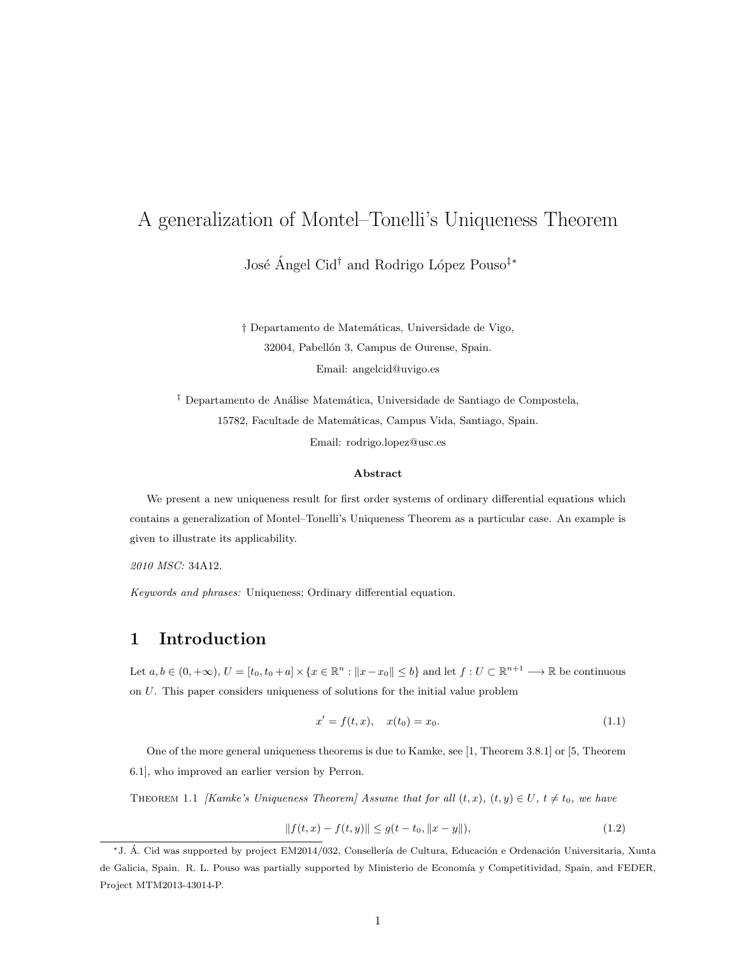# A generalization of Montel–Tonelli's Uniqueness Theorem

José Ángel Cid<sup>†</sup> and Rodrigo López Pouso<sup>‡∗</sup>

† Departamento de Matem´aticas, Universidade de Vigo, 32004, Pabellón 3, Campus de Ourense, Spain. Email: angelcid@uvigo.es

<sup>‡</sup> Departamento de Análise Matemática, Universidade de Santiago de Compostela, 15782, Facultade de Matemáticas, Campus Vida, Santiago, Spain. Email: rodrigo.lopez@usc.es

#### Abstract

We present a new uniqueness result for first order systems of ordinary differential equations which contains a generalization of Montel–Tonelli's Uniqueness Theorem as a particular case. An example is given to illustrate its applicability.

2010 MSC: 34A12.

Keywords and phrases: Uniqueness; Ordinary differential equation.

### 1 Introduction

Let  $a, b \in (0, +\infty), U = [t_0, t_0 + a] \times \{x \in \mathbb{R}^n : ||x - x_0|| \le b\}$  and let  $f : U \subset \mathbb{R}^{n+1} \longrightarrow \mathbb{R}$  be continuous on U. This paper considers uniqueness of solutions for the initial value problem

$$
x' = f(t, x), \quad x(t_0) = x_0.
$$
\n(1.1)

One of the more general uniqueness theorems is due to Kamke, see [1, Theorem 3.8.1] or [5, Theorem 6.1], who improved an earlier version by Perron.

THEOREM 1.1 [Kamke's Uniqueness Theorem] Assume that for all  $(t, x)$ ,  $(t, y) \in U$ ,  $t \neq t_0$ , we have

$$
||f(t,x) - f(t,y)|| \le g(t - t_0, ||x - y||),
$$
\n(1.2)

<sup>\*</sup>J. Á. Cid was supported by project EM2014/032, Consellería de Cultura, Educación e Ordenación Universitaria, Xunta de Galicia, Spain. R. L. Pouso was partially supported by Ministerio de Economía y Competitividad, Spain, and FEDER, Project MTM2013-43014-P.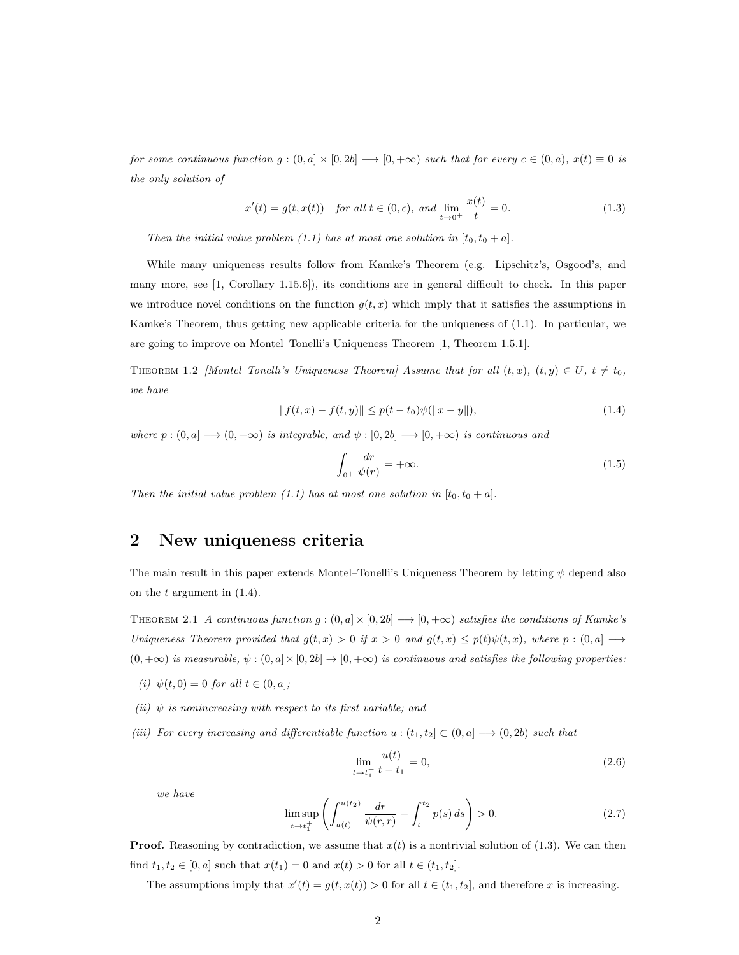for some continuous function  $g : (0, a] \times [0, 2b] \longrightarrow [0, +\infty)$  such that for every  $c \in (0, a)$ ,  $x(t) \equiv 0$  is the only solution of

$$
x'(t) = g(t, x(t)) \quad \text{for all } t \in (0, c), \text{ and } \lim_{t \to 0^+} \frac{x(t)}{t} = 0. \tag{1.3}
$$

Then the initial value problem (1.1) has at most one solution in  $[t_0, t_0 + a]$ .

While many uniqueness results follow from Kamke's Theorem (e.g. Lipschitz's, Osgood's, and many more, see [1, Corollary 1.15.6]), its conditions are in general difficult to check. In this paper we introduce novel conditions on the function  $g(t, x)$  which imply that it satisfies the assumptions in Kamke's Theorem, thus getting new applicable criteria for the uniqueness of (1.1). In particular, we are going to improve on Montel–Tonelli's Uniqueness Theorem [1, Theorem 1.5.1].

THEOREM 1.2 [Montel–Tonelli's Uniqueness Theorem] Assume that for all  $(t, x)$ ,  $(t, y) \in U$ ,  $t \neq t_0$ , we have

$$
|| f(t, x) - f(t, y)|| \le p(t - t_0)\psi(||x - y||),
$$
\n(1.4)

where  $p:(0,a]\longrightarrow (0,+\infty)$  is integrable, and  $\psi:[0,2b]\longrightarrow [0,+\infty)$  is continuous and

$$
\int_{0^{+}} \frac{dr}{\psi(r)} = +\infty. \tag{1.5}
$$

Then the initial value problem (1.1) has at most one solution in  $[t_0, t_0 + a]$ .

#### 2 New uniqueness criteria

The main result in this paper extends Montel–Tonelli's Uniqueness Theorem by letting  $\psi$  depend also on the  $t$  argument in  $(1.4)$ .

THEOREM 2.1 A continuous function  $g : (0, a] \times [0, 2b] \longrightarrow [0, +\infty)$  satisfies the conditions of Kamke's Uniqueness Theorem provided that  $g(t, x) > 0$  if  $x > 0$  and  $g(t, x) \leq p(t)\psi(t, x)$ , where  $p : (0, a] \longrightarrow$  $(0, +\infty)$  is measurable,  $\psi : (0, a] \times [0, 2b] \rightarrow [0, +\infty)$  is continuous and satisfies the following properties:

- (i)  $\psi(t, 0) = 0$  for all  $t \in (0, a]$ ;
- (ii)  $\psi$  is nonincreasing with respect to its first variable; and
- (iii) For every increasing and differentiable function  $u : (t_1, t_2] \subset (0, a] \longrightarrow (0, 2b)$  such that

$$
\lim_{t \to t_1^+} \frac{u(t)}{t - t_1} = 0,\tag{2.6}
$$

we have

$$
\limsup_{t \to t_1^+} \left( \int_{u(t)}^{u(t_2)} \frac{dr}{\psi(r,r)} - \int_t^{t_2} p(s) \, ds \right) > 0. \tag{2.7}
$$

**Proof.** Reasoning by contradiction, we assume that  $x(t)$  is a nontrivial solution of (1.3). We can then find  $t_1, t_2 \in [0, a]$  such that  $x(t_1) = 0$  and  $x(t) > 0$  for all  $t \in (t_1, t_2]$ .

The assumptions imply that  $x'(t) = g(t, x(t)) > 0$  for all  $t \in (t_1, t_2]$ , and therefore x is increasing.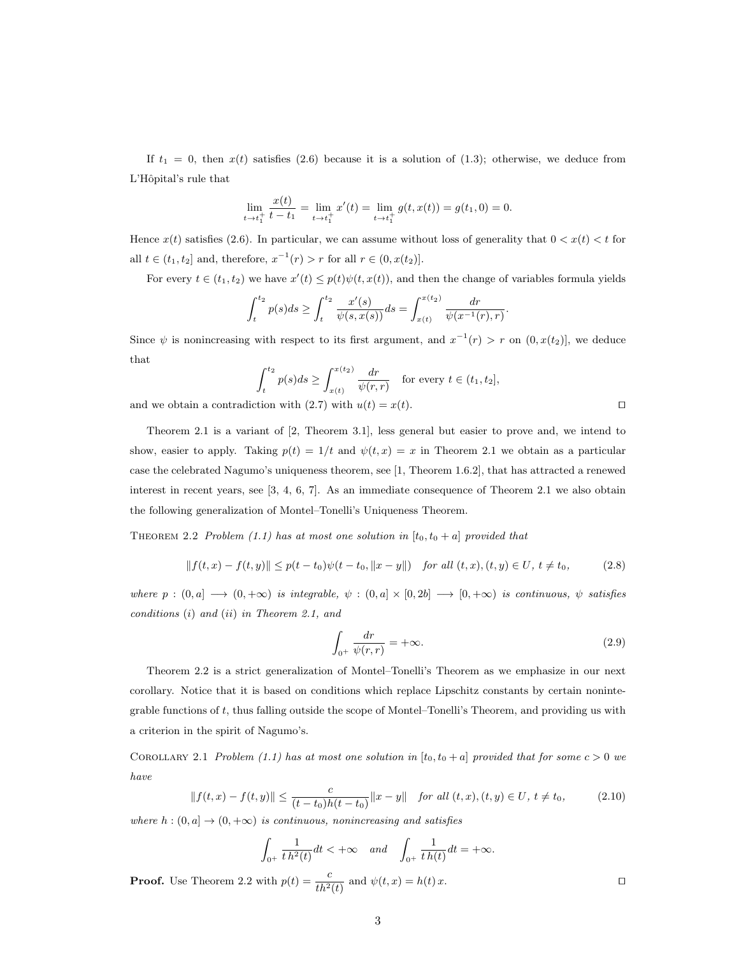If  $t_1 = 0$ , then  $x(t)$  satisfies (2.6) because it is a solution of (1.3); otherwise, we deduce from L'Hôpital's rule that

$$
\lim_{t \to t_1^+} \frac{x(t)}{t - t_1} = \lim_{t \to t_1^+} x'(t) = \lim_{t \to t_1^+} g(t, x(t)) = g(t_1, 0) = 0.
$$

Hence  $x(t)$  satisfies (2.6). In particular, we can assume without loss of generality that  $0 < x(t) < t$  for all  $t \in (t_1, t_2]$  and, therefore,  $x^{-1}(r) > r$  for all  $r \in (0, x(t_2)]$ .

For every  $t \in (t_1, t_2)$  we have  $x'(t) \leq p(t)\psi(t, x(t))$ , and then the change of variables formula yields

$$
\int_{t}^{t_2} p(s)ds \ge \int_{t}^{t_2} \frac{x'(s)}{\psi(s, x(s))}ds = \int_{x(t)}^{x(t_2)} \frac{dr}{\psi(x^{-1}(r), r)}
$$

Since  $\psi$  is nonincreasing with respect to its first argument, and  $x^{-1}(r) > r$  on  $(0, x(t_2)]$ , we deduce that

$$
\int_{t}^{t_2} p(s)ds \ge \int_{x(t)}^{x(t_2)} \frac{dr}{\psi(r,r)} \quad \text{for every } t \in (t_1, t_2],
$$

and we obtain a contradiction with (2.7) with  $u(t) = x(t)$ .

Theorem 2.1 is a variant of [2, Theorem 3.1], less general but easier to prove and, we intend to show, easier to apply. Taking  $p(t) = 1/t$  and  $\psi(t, x) = x$  in Theorem 2.1 we obtain as a particular case the celebrated Nagumo's uniqueness theorem, see [1, Theorem 1.6.2], that has attracted a renewed interest in recent years, see [3, 4, 6, 7]. As an immediate consequence of Theorem 2.1 we also obtain the following generalization of Montel–Tonelli's Uniqueness Theorem.

THEOREM 2.2 Problem (1.1) has at most one solution in  $[t_0, t_0 + a]$  provided that

$$
|| f(t, x) - f(t, y)|| \le p(t - t_0) \psi(t - t_0, ||x - y||) \quad \text{for all } (t, x), (t, y) \in U, \ t \ne t_0,
$$
 (2.8)

where  $p : (0, a] \longrightarrow (0, +\infty)$  is integrable,  $\psi : (0, a] \times [0, 2b] \longrightarrow [0, +\infty)$  is continuous,  $\psi$  satisfies conditions (i) and (ii) in Theorem 2.1, and

$$
\int_{0^+} \frac{dr}{\psi(r,r)} = +\infty. \tag{2.9}
$$

.

Theorem 2.2 is a strict generalization of Montel–Tonelli's Theorem as we emphasize in our next corollary. Notice that it is based on conditions which replace Lipschitz constants by certain nonintegrable functions of t, thus falling outside the scope of Montel–Tonelli's Theorem, and providing us with a criterion in the spirit of Nagumo's.

COROLLARY 2.1 Problem (1.1) has at most one solution in  $[t_0, t_0 + a]$  provided that for some  $c > 0$  we have

$$
||f(t,x) - f(t,y)|| \le \frac{c}{(t-t_0)h(t-t_0)} ||x-y|| \quad \text{for all } (t,x), (t,y) \in U, \ t \ne t_0,
$$
 (2.10)

where  $h: (0, a] \to (0, +\infty)$  is continuous, nonincreasing and satisfies

$$
\int_{0^+} \frac{1}{t \, h^2(t)} dt < +\infty \quad \text{and} \quad \int_{0^+} \frac{1}{t \, h(t)} dt = +\infty.
$$

**Proof.** Use Theorem 2.2 with  $p(t) = \frac{c}{th^2(t)}$  and  $\psi(t, x) = h(t) x$ .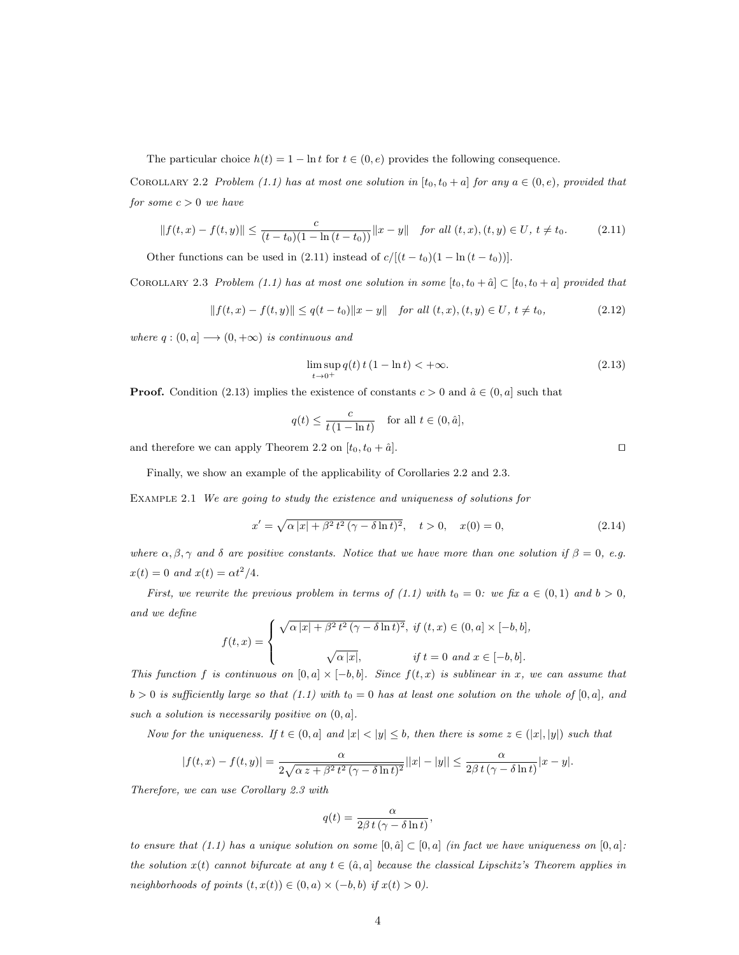The particular choice  $h(t) = 1 - \ln t$  for  $t \in (0, e)$  provides the following consequence.

COROLLARY 2.2 Problem (1.1) has at most one solution in [ $t_0, t_0 + a$ ] for any  $a \in (0, e)$ , provided that for some  $c > 0$  we have

$$
||f(t,x) - f(t,y)|| \le \frac{c}{(t-t_0)(1 - \ln(t-t_0))} ||x-y|| \quad \text{for all } (t,x), (t,y) \in U, \ t \ne t_0.
$$
 (2.11)

Other functions can be used in (2.11) instead of  $c/[(t-t_0)(1-\ln(t-t_0))]$ .

COROLLARY 2.3 Problem (1.1) has at most one solution in some  $[t_0, t_0 + \hat{a}] \subset [t_0, t_0 + a]$  provided that

$$
|| f(t, x) - f(t, y)|| \le q(t - t_0) ||x - y|| \quad \text{for all } (t, x), (t, y) \in U, \ t \ne t_0,
$$
\n
$$
(2.12)
$$

where  $q:(0,a]\longrightarrow (0,+\infty)$  is continuous and

$$
\limsup_{t \to 0^+} q(t) t (1 - \ln t) < +\infty.
$$
\n(2.13)

**Proof.** Condition (2.13) implies the existence of constants  $c > 0$  and  $\hat{a} \in (0, a]$  such that

$$
q(t) \le \frac{c}{t(1-\ln t)} \quad \text{for all } t \in (0, \hat{a}],
$$

and therefore we can apply Theorem 2.2 on  $[t_0, t_0 + \hat{a}]$ .

Finally, we show an example of the applicability of Corollaries 2.2 and 2.3.

Example 2.1 We are going to study the existence and uniqueness of solutions for

$$
x' = \sqrt{\alpha |x| + \beta^2 t^2 (\gamma - \delta \ln t)^2}, \quad t > 0, \quad x(0) = 0,
$$
\n(2.14)

where  $\alpha, \beta, \gamma$  and  $\delta$  are positive constants. Notice that we have more than one solution if  $\beta = 0$ , e.g.  $x(t) = 0$  and  $x(t) = \alpha t^2/4$ .

First, we rewrite the previous problem in terms of (1.1) with  $t_0 = 0$ : we fix  $a \in (0,1)$  and  $b > 0$ , and we define

$$
f(t,x) = \begin{cases} \sqrt{\alpha |x| + \beta^2 t^2 (\gamma - \delta \ln t)^2}, & \text{if } (t,x) \in (0,a] \times [-b,b], \\ \sqrt{\alpha |x|}, & \text{if } t = 0 \text{ and } x \in [-b,b]. \end{cases}
$$

This function f is continuous on  $[0, a] \times [-b, b]$ . Since  $f(t, x)$  is sublinear in x, we can assume that  $b > 0$  is sufficiently large so that (1.1) with  $t_0 = 0$  has at least one solution on the whole of [0, a], and such a solution is necessarily positive on  $(0, a]$ .

Now for the uniqueness. If  $t \in (0, a]$  and  $|x| < |y| \leq b$ , then there is some  $z \in (x|x|, |y|)$  such that

$$
|f(t,x)-f(t,y)|=\frac{\alpha}{2\sqrt{\alpha\,z+\beta^2\,t^2\,(\gamma-\delta\ln t)^2}}||x|-|y||\leq \frac{\alpha}{2\beta\,t\,(\gamma-\delta\ln t)}|x-y|.
$$

Therefore, we can use Corollary 2.3 with

$$
q(t) = \frac{\alpha}{2\beta t \left(\gamma - \delta \ln t\right)},
$$

to ensure that (1.1) has a unique solution on some  $[0, \hat{a}] \subset [0, a]$  (in fact we have uniqueness on  $[0, a]$ : the solution  $x(t)$  cannot bifurcate at any  $t \in (\hat{a}, a]$  because the classical Lipschitz's Theorem applies in neighborhoods of points  $(t, x(t)) \in (0, a) \times (-b, b)$  if  $x(t) > 0$ .